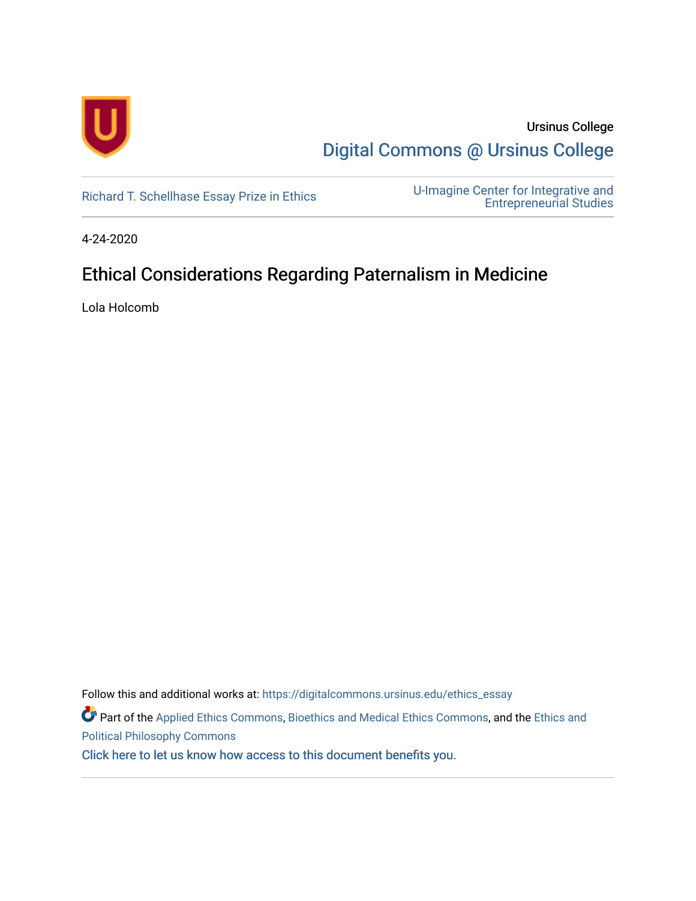

Ursinus College [Digital Commons @ Ursinus College](https://digitalcommons.ursinus.edu/) 

[Richard T. Schellhase Essay Prize in Ethics](https://digitalcommons.ursinus.edu/ethics_essay) U-Imagine Center for Integrative and [Entrepreneurial Studies](https://digitalcommons.ursinus.edu/uimagine) 

4-24-2020

# Ethical Considerations Regarding Paternalism in Medicine

Lola Holcomb

Follow this and additional works at: [https://digitalcommons.ursinus.edu/ethics\\_essay](https://digitalcommons.ursinus.edu/ethics_essay?utm_source=digitalcommons.ursinus.edu%2Fethics_essay%2F18&utm_medium=PDF&utm_campaign=PDFCoverPages)  Part of the [Applied Ethics Commons](http://network.bepress.com/hgg/discipline/1392?utm_source=digitalcommons.ursinus.edu%2Fethics_essay%2F18&utm_medium=PDF&utm_campaign=PDFCoverPages), [Bioethics and Medical Ethics Commons,](http://network.bepress.com/hgg/discipline/650?utm_source=digitalcommons.ursinus.edu%2Fethics_essay%2F18&utm_medium=PDF&utm_campaign=PDFCoverPages) and the [Ethics and](http://network.bepress.com/hgg/discipline/529?utm_source=digitalcommons.ursinus.edu%2Fethics_essay%2F18&utm_medium=PDF&utm_campaign=PDFCoverPages) [Political Philosophy Commons](http://network.bepress.com/hgg/discipline/529?utm_source=digitalcommons.ursinus.edu%2Fethics_essay%2F18&utm_medium=PDF&utm_campaign=PDFCoverPages)  [Click here to let us know how access to this document benefits you.](https://ursinus.co1.qualtrics.com/jfe/form/SV_1RIyfqzdxsWfMQ5)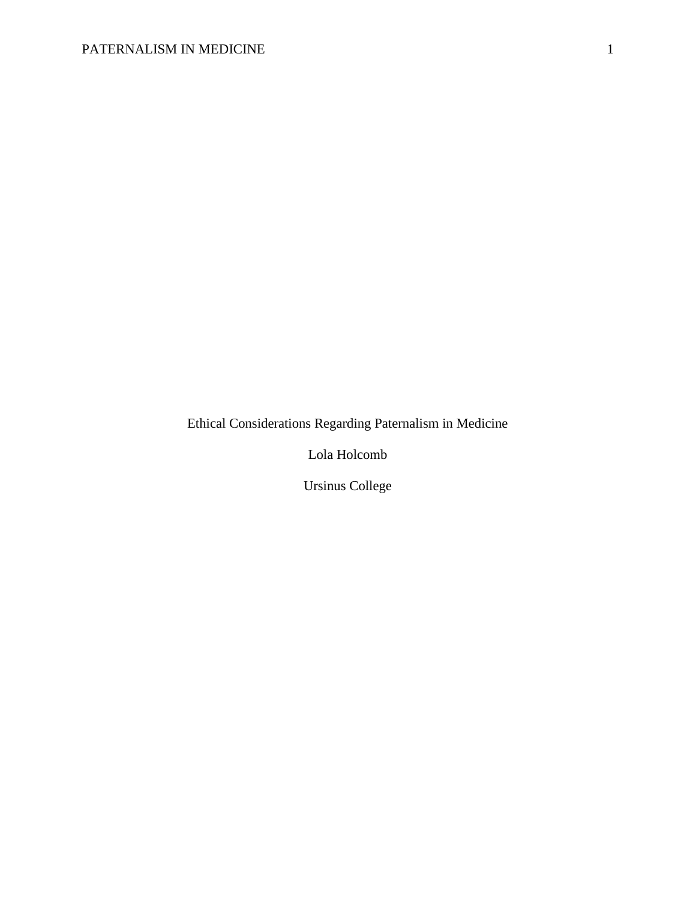Ethical Considerations Regarding Paternalism in Medicine

Lola Holcomb

Ursinus College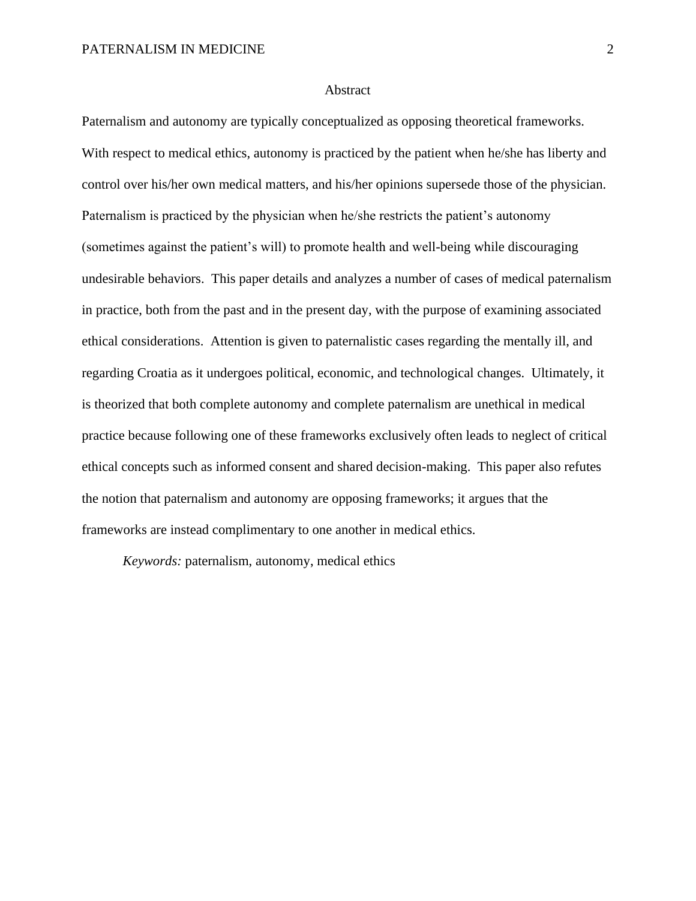#### Abstract

Paternalism and autonomy are typically conceptualized as opposing theoretical frameworks. With respect to medical ethics, autonomy is practiced by the patient when he/she has liberty and control over his/her own medical matters, and his/her opinions supersede those of the physician. Paternalism is practiced by the physician when he/she restricts the patient's autonomy (sometimes against the patient's will) to promote health and well-being while discouraging undesirable behaviors. This paper details and analyzes a number of cases of medical paternalism in practice, both from the past and in the present day, with the purpose of examining associated ethical considerations. Attention is given to paternalistic cases regarding the mentally ill, and regarding Croatia as it undergoes political, economic, and technological changes. Ultimately, it is theorized that both complete autonomy and complete paternalism are unethical in medical practice because following one of these frameworks exclusively often leads to neglect of critical ethical concepts such as informed consent and shared decision-making. This paper also refutes the notion that paternalism and autonomy are opposing frameworks; it argues that the frameworks are instead complimentary to one another in medical ethics.

*Keywords:* paternalism, autonomy, medical ethics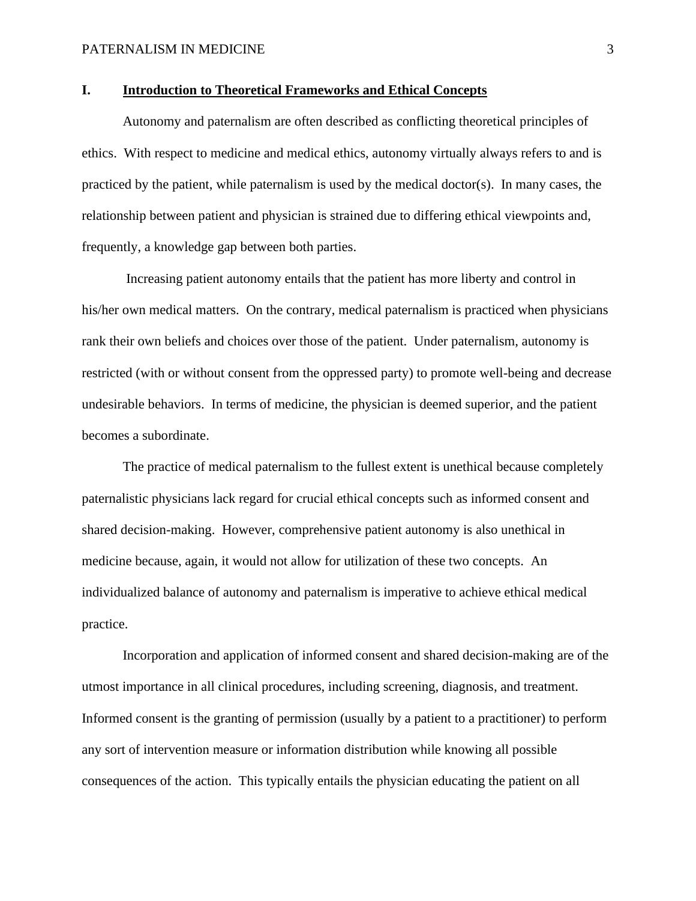### **I. Introduction to Theoretical Frameworks and Ethical Concepts**

Autonomy and paternalism are often described as conflicting theoretical principles of ethics. With respect to medicine and medical ethics, autonomy virtually always refers to and is practiced by the patient, while paternalism is used by the medical doctor(s). In many cases, the relationship between patient and physician is strained due to differing ethical viewpoints and, frequently, a knowledge gap between both parties.

Increasing patient autonomy entails that the patient has more liberty and control in his/her own medical matters. On the contrary, medical paternalism is practiced when physicians rank their own beliefs and choices over those of the patient. Under paternalism, autonomy is restricted (with or without consent from the oppressed party) to promote well-being and decrease undesirable behaviors. In terms of medicine, the physician is deemed superior, and the patient becomes a subordinate.

The practice of medical paternalism to the fullest extent is unethical because completely paternalistic physicians lack regard for crucial ethical concepts such as informed consent and shared decision-making. However, comprehensive patient autonomy is also unethical in medicine because, again, it would not allow for utilization of these two concepts. An individualized balance of autonomy and paternalism is imperative to achieve ethical medical practice.

Incorporation and application of informed consent and shared decision-making are of the utmost importance in all clinical procedures, including screening, diagnosis, and treatment. Informed consent is the granting of permission (usually by a patient to a practitioner) to perform any sort of intervention measure or information distribution while knowing all possible consequences of the action. This typically entails the physician educating the patient on all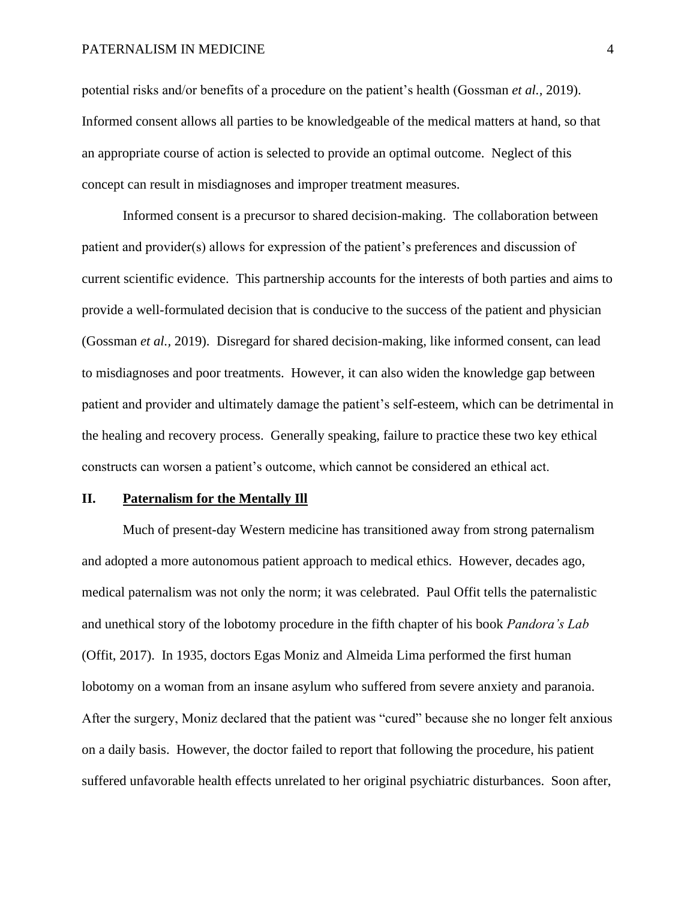potential risks and/or benefits of a procedure on the patient's health (Gossman *et al.,* 2019). Informed consent allows all parties to be knowledgeable of the medical matters at hand, so that an appropriate course of action is selected to provide an optimal outcome. Neglect of this concept can result in misdiagnoses and improper treatment measures.

Informed consent is a precursor to shared decision-making. The collaboration between patient and provider(s) allows for expression of the patient's preferences and discussion of current scientific evidence. This partnership accounts for the interests of both parties and aims to provide a well-formulated decision that is conducive to the success of the patient and physician (Gossman *et al.,* 2019). Disregard for shared decision-making, like informed consent, can lead to misdiagnoses and poor treatments. However, it can also widen the knowledge gap between patient and provider and ultimately damage the patient's self-esteem, which can be detrimental in the healing and recovery process. Generally speaking, failure to practice these two key ethical constructs can worsen a patient's outcome, which cannot be considered an ethical act.

#### **II. Paternalism for the Mentally Ill**

Much of present-day Western medicine has transitioned away from strong paternalism and adopted a more autonomous patient approach to medical ethics. However, decades ago, medical paternalism was not only the norm; it was celebrated. Paul Offit tells the paternalistic and unethical story of the lobotomy procedure in the fifth chapter of his book *Pandora's Lab* (Offit, 2017). In 1935, doctors Egas Moniz and Almeida Lima performed the first human lobotomy on a woman from an insane asylum who suffered from severe anxiety and paranoia. After the surgery, Moniz declared that the patient was "cured" because she no longer felt anxious on a daily basis. However, the doctor failed to report that following the procedure, his patient suffered unfavorable health effects unrelated to her original psychiatric disturbances. Soon after,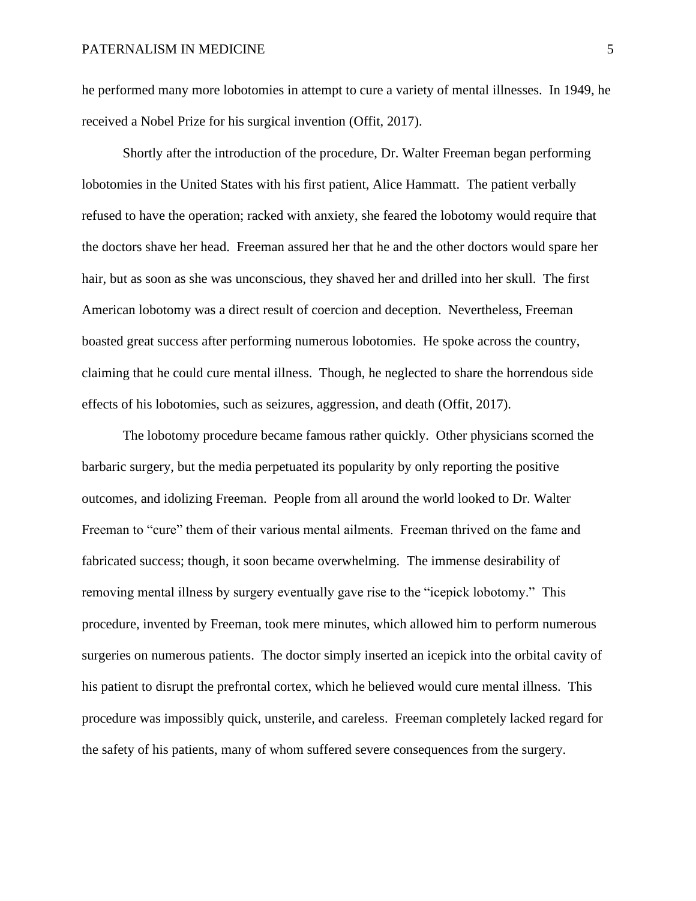he performed many more lobotomies in attempt to cure a variety of mental illnesses. In 1949, he received a Nobel Prize for his surgical invention (Offit, 2017).

Shortly after the introduction of the procedure, Dr. Walter Freeman began performing lobotomies in the United States with his first patient, Alice Hammatt. The patient verbally refused to have the operation; racked with anxiety, she feared the lobotomy would require that the doctors shave her head. Freeman assured her that he and the other doctors would spare her hair, but as soon as she was unconscious, they shaved her and drilled into her skull. The first American lobotomy was a direct result of coercion and deception. Nevertheless, Freeman boasted great success after performing numerous lobotomies. He spoke across the country, claiming that he could cure mental illness. Though, he neglected to share the horrendous side effects of his lobotomies, such as seizures, aggression, and death (Offit, 2017).

The lobotomy procedure became famous rather quickly. Other physicians scorned the barbaric surgery, but the media perpetuated its popularity by only reporting the positive outcomes, and idolizing Freeman. People from all around the world looked to Dr. Walter Freeman to "cure" them of their various mental ailments. Freeman thrived on the fame and fabricated success; though, it soon became overwhelming. The immense desirability of removing mental illness by surgery eventually gave rise to the "icepick lobotomy." This procedure, invented by Freeman, took mere minutes, which allowed him to perform numerous surgeries on numerous patients. The doctor simply inserted an icepick into the orbital cavity of his patient to disrupt the prefrontal cortex, which he believed would cure mental illness. This procedure was impossibly quick, unsterile, and careless. Freeman completely lacked regard for the safety of his patients, many of whom suffered severe consequences from the surgery.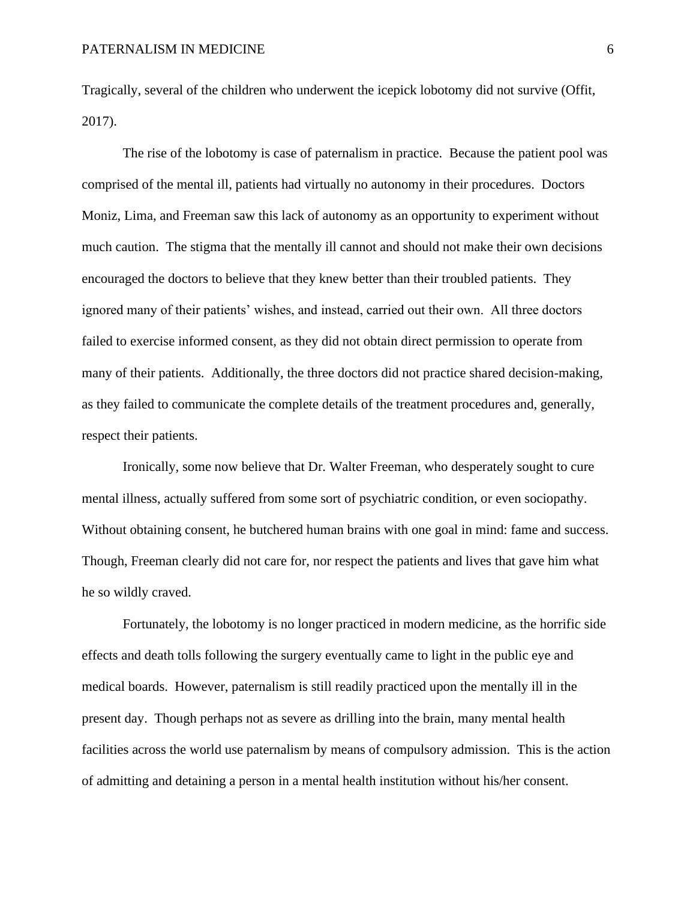Tragically, several of the children who underwent the icepick lobotomy did not survive (Offit, 2017).

The rise of the lobotomy is case of paternalism in practice. Because the patient pool was comprised of the mental ill, patients had virtually no autonomy in their procedures. Doctors Moniz, Lima, and Freeman saw this lack of autonomy as an opportunity to experiment without much caution. The stigma that the mentally ill cannot and should not make their own decisions encouraged the doctors to believe that they knew better than their troubled patients. They ignored many of their patients' wishes, and instead, carried out their own. All three doctors failed to exercise informed consent, as they did not obtain direct permission to operate from many of their patients. Additionally, the three doctors did not practice shared decision-making, as they failed to communicate the complete details of the treatment procedures and, generally, respect their patients.

Ironically, some now believe that Dr. Walter Freeman, who desperately sought to cure mental illness, actually suffered from some sort of psychiatric condition, or even sociopathy. Without obtaining consent, he butchered human brains with one goal in mind: fame and success. Though, Freeman clearly did not care for, nor respect the patients and lives that gave him what he so wildly craved.

Fortunately, the lobotomy is no longer practiced in modern medicine, as the horrific side effects and death tolls following the surgery eventually came to light in the public eye and medical boards. However, paternalism is still readily practiced upon the mentally ill in the present day. Though perhaps not as severe as drilling into the brain, many mental health facilities across the world use paternalism by means of compulsory admission. This is the action of admitting and detaining a person in a mental health institution without his/her consent.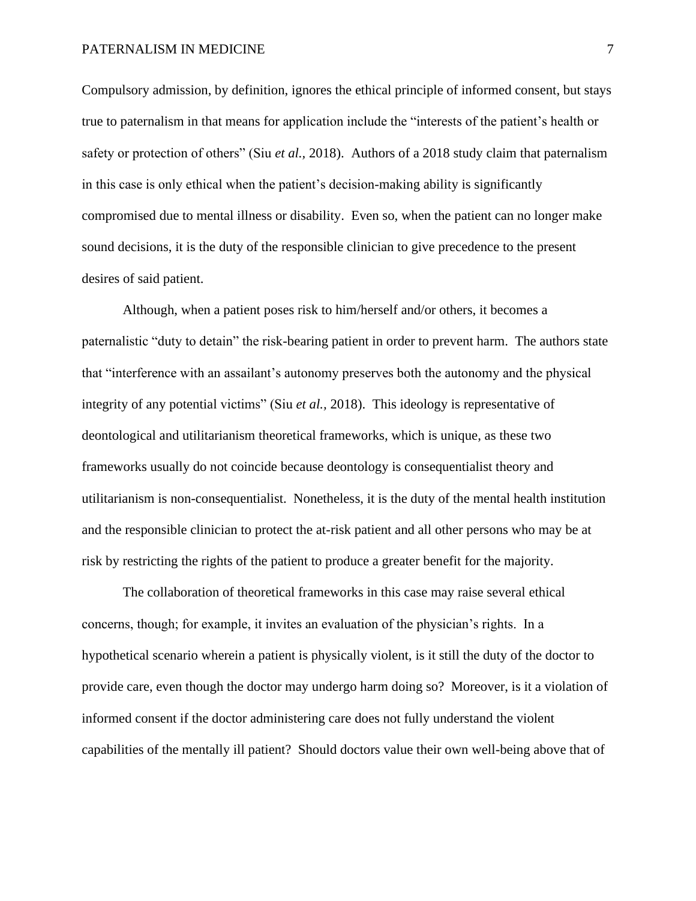Compulsory admission, by definition, ignores the ethical principle of informed consent, but stays true to paternalism in that means for application include the "interests of the patient's health or safety or protection of others" (Siu *et al.,* 2018). Authors of a 2018 study claim that paternalism in this case is only ethical when the patient's decision-making ability is significantly compromised due to mental illness or disability. Even so, when the patient can no longer make sound decisions, it is the duty of the responsible clinician to give precedence to the present desires of said patient.

Although, when a patient poses risk to him/herself and/or others, it becomes a paternalistic "duty to detain" the risk-bearing patient in order to prevent harm. The authors state that "interference with an assailant's autonomy preserves both the autonomy and the physical integrity of any potential victims" (Siu *et al.,* 2018). This ideology is representative of deontological and utilitarianism theoretical frameworks, which is unique, as these two frameworks usually do not coincide because deontology is consequentialist theory and utilitarianism is non-consequentialist. Nonetheless, it is the duty of the mental health institution and the responsible clinician to protect the at-risk patient and all other persons who may be at risk by restricting the rights of the patient to produce a greater benefit for the majority.

The collaboration of theoretical frameworks in this case may raise several ethical concerns, though; for example, it invites an evaluation of the physician's rights. In a hypothetical scenario wherein a patient is physically violent, is it still the duty of the doctor to provide care, even though the doctor may undergo harm doing so? Moreover, is it a violation of informed consent if the doctor administering care does not fully understand the violent capabilities of the mentally ill patient? Should doctors value their own well-being above that of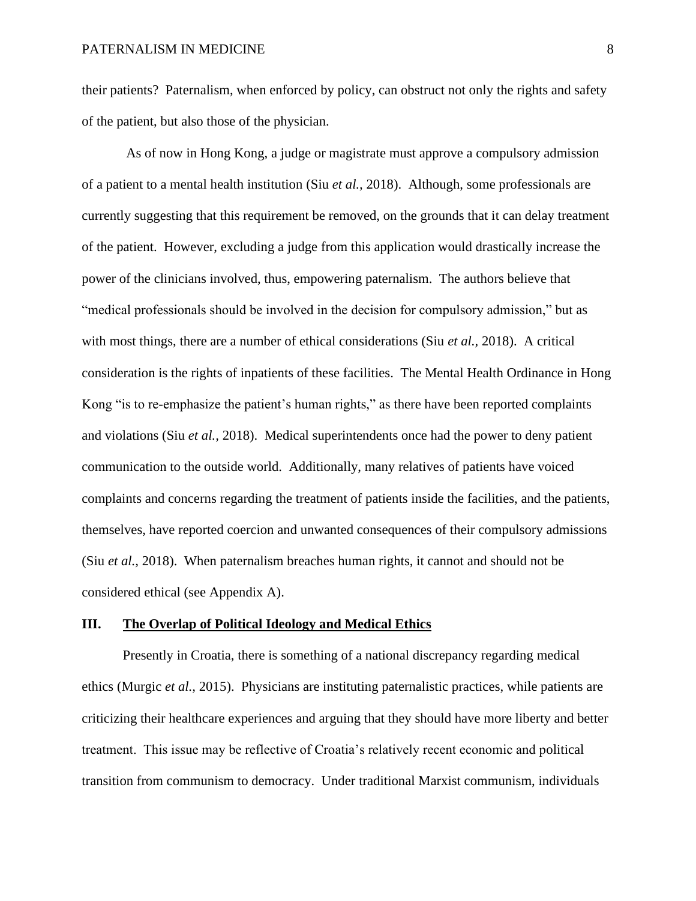their patients? Paternalism, when enforced by policy, can obstruct not only the rights and safety of the patient, but also those of the physician.

As of now in Hong Kong, a judge or magistrate must approve a compulsory admission of a patient to a mental health institution (Siu *et al.,* 2018). Although, some professionals are currently suggesting that this requirement be removed, on the grounds that it can delay treatment of the patient. However, excluding a judge from this application would drastically increase the power of the clinicians involved, thus, empowering paternalism. The authors believe that "medical professionals should be involved in the decision for compulsory admission," but as with most things, there are a number of ethical considerations (Siu *et al.,* 2018). A critical consideration is the rights of inpatients of these facilities. The Mental Health Ordinance in Hong Kong "is to re-emphasize the patient's human rights," as there have been reported complaints and violations (Siu *et al.,* 2018). Medical superintendents once had the power to deny patient communication to the outside world. Additionally, many relatives of patients have voiced complaints and concerns regarding the treatment of patients inside the facilities, and the patients, themselves, have reported coercion and unwanted consequences of their compulsory admissions (Siu *et al.,* 2018). When paternalism breaches human rights, it cannot and should not be considered ethical (see Appendix A).

#### **III. The Overlap of Political Ideology and Medical Ethics**

Presently in Croatia, there is something of a national discrepancy regarding medical ethics (Murgic *et al.,* 2015). Physicians are instituting paternalistic practices, while patients are criticizing their healthcare experiences and arguing that they should have more liberty and better treatment. This issue may be reflective of Croatia's relatively recent economic and political transition from communism to democracy. Under traditional Marxist communism, individuals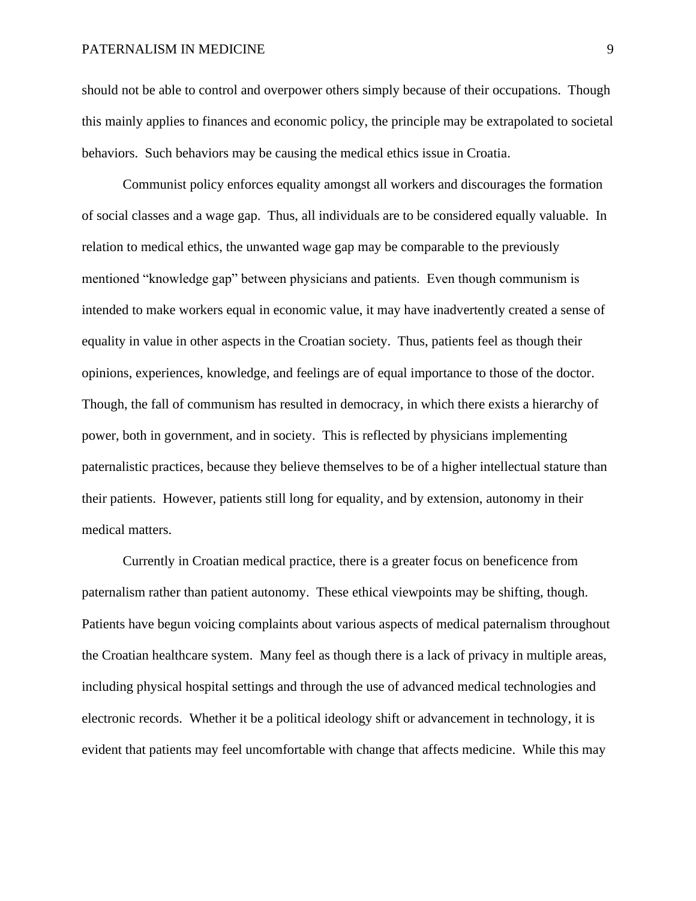should not be able to control and overpower others simply because of their occupations. Though this mainly applies to finances and economic policy, the principle may be extrapolated to societal behaviors. Such behaviors may be causing the medical ethics issue in Croatia.

Communist policy enforces equality amongst all workers and discourages the formation of social classes and a wage gap. Thus, all individuals are to be considered equally valuable. In relation to medical ethics, the unwanted wage gap may be comparable to the previously mentioned "knowledge gap" between physicians and patients. Even though communism is intended to make workers equal in economic value, it may have inadvertently created a sense of equality in value in other aspects in the Croatian society. Thus, patients feel as though their opinions, experiences, knowledge, and feelings are of equal importance to those of the doctor. Though, the fall of communism has resulted in democracy, in which there exists a hierarchy of power, both in government, and in society. This is reflected by physicians implementing paternalistic practices, because they believe themselves to be of a higher intellectual stature than their patients. However, patients still long for equality, and by extension, autonomy in their medical matters.

Currently in Croatian medical practice, there is a greater focus on beneficence from paternalism rather than patient autonomy. These ethical viewpoints may be shifting, though. Patients have begun voicing complaints about various aspects of medical paternalism throughout the Croatian healthcare system. Many feel as though there is a lack of privacy in multiple areas, including physical hospital settings and through the use of advanced medical technologies and electronic records. Whether it be a political ideology shift or advancement in technology, it is evident that patients may feel uncomfortable with change that affects medicine. While this may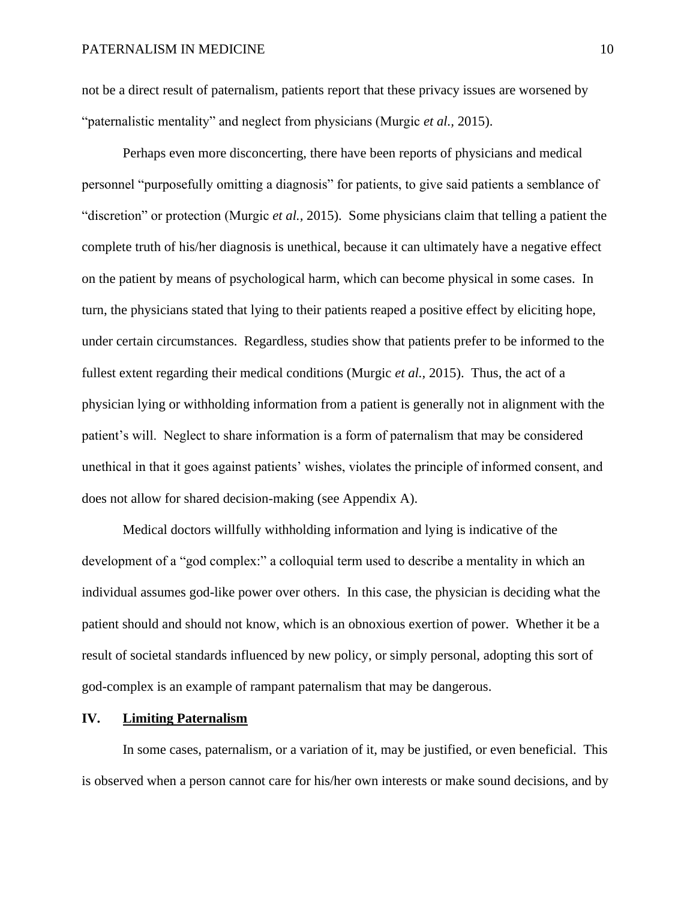not be a direct result of paternalism, patients report that these privacy issues are worsened by "paternalistic mentality" and neglect from physicians (Murgic *et al.,* 2015).

Perhaps even more disconcerting, there have been reports of physicians and medical personnel "purposefully omitting a diagnosis" for patients, to give said patients a semblance of "discretion" or protection (Murgic *et al.,* 2015). Some physicians claim that telling a patient the complete truth of his/her diagnosis is unethical, because it can ultimately have a negative effect on the patient by means of psychological harm, which can become physical in some cases. In turn, the physicians stated that lying to their patients reaped a positive effect by eliciting hope, under certain circumstances. Regardless, studies show that patients prefer to be informed to the fullest extent regarding their medical conditions (Murgic *et al.,* 2015). Thus, the act of a physician lying or withholding information from a patient is generally not in alignment with the patient's will. Neglect to share information is a form of paternalism that may be considered unethical in that it goes against patients' wishes, violates the principle of informed consent, and does not allow for shared decision-making (see Appendix A).

Medical doctors willfully withholding information and lying is indicative of the development of a "god complex:" a colloquial term used to describe a mentality in which an individual assumes god-like power over others. In this case, the physician is deciding what the patient should and should not know, which is an obnoxious exertion of power. Whether it be a result of societal standards influenced by new policy, or simply personal, adopting this sort of god-complex is an example of rampant paternalism that may be dangerous.

## **IV. Limiting Paternalism**

In some cases, paternalism, or a variation of it, may be justified, or even beneficial. This is observed when a person cannot care for his/her own interests or make sound decisions, and by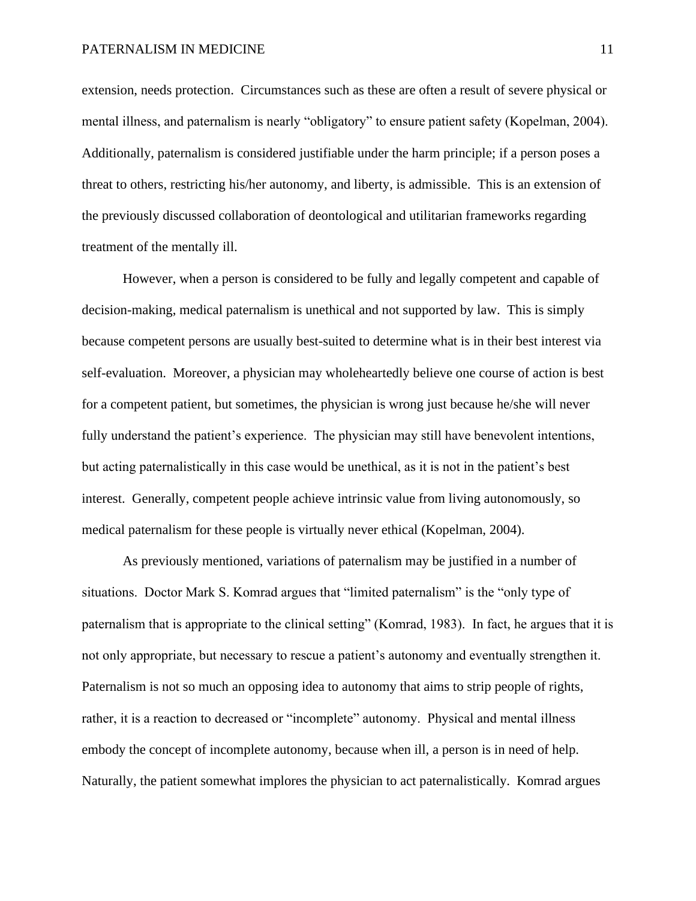extension, needs protection. Circumstances such as these are often a result of severe physical or mental illness, and paternalism is nearly "obligatory" to ensure patient safety (Kopelman, 2004). Additionally, paternalism is considered justifiable under the harm principle; if a person poses a threat to others, restricting his/her autonomy, and liberty, is admissible. This is an extension of the previously discussed collaboration of deontological and utilitarian frameworks regarding treatment of the mentally ill.

However, when a person is considered to be fully and legally competent and capable of decision-making, medical paternalism is unethical and not supported by law. This is simply because competent persons are usually best-suited to determine what is in their best interest via self-evaluation. Moreover, a physician may wholeheartedly believe one course of action is best for a competent patient, but sometimes, the physician is wrong just because he/she will never fully understand the patient's experience. The physician may still have benevolent intentions, but acting paternalistically in this case would be unethical, as it is not in the patient's best interest. Generally, competent people achieve intrinsic value from living autonomously, so medical paternalism for these people is virtually never ethical (Kopelman, 2004).

As previously mentioned, variations of paternalism may be justified in a number of situations. Doctor Mark S. Komrad argues that "limited paternalism" is the "only type of paternalism that is appropriate to the clinical setting" (Komrad, 1983). In fact, he argues that it is not only appropriate, but necessary to rescue a patient's autonomy and eventually strengthen it. Paternalism is not so much an opposing idea to autonomy that aims to strip people of rights, rather, it is a reaction to decreased or "incomplete" autonomy. Physical and mental illness embody the concept of incomplete autonomy, because when ill, a person is in need of help. Naturally, the patient somewhat implores the physician to act paternalistically. Komrad argues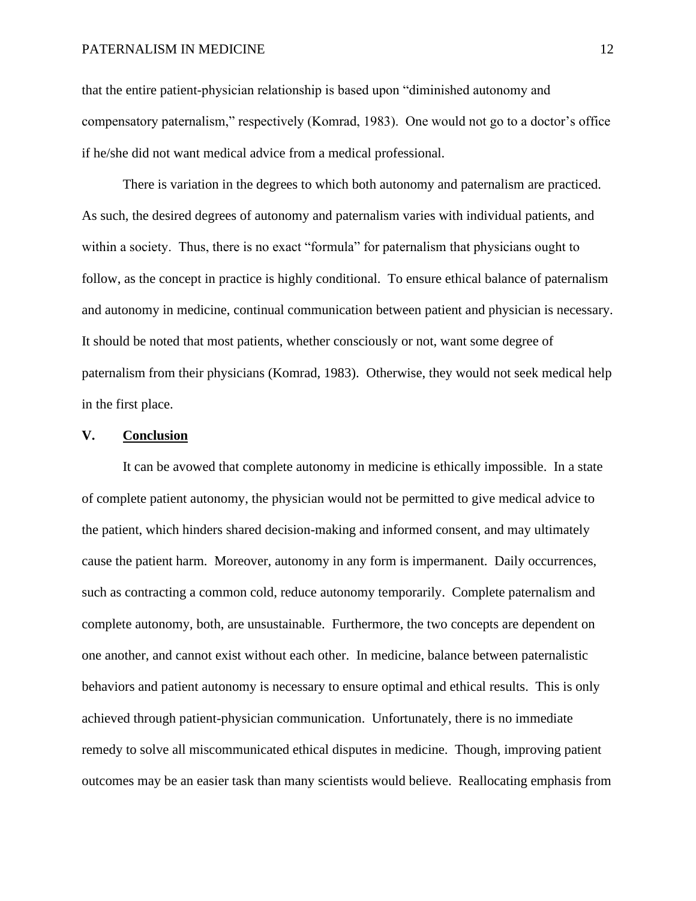that the entire patient-physician relationship is based upon "diminished autonomy and compensatory paternalism," respectively (Komrad, 1983). One would not go to a doctor's office if he/she did not want medical advice from a medical professional.

There is variation in the degrees to which both autonomy and paternalism are practiced. As such, the desired degrees of autonomy and paternalism varies with individual patients, and within a society. Thus, there is no exact "formula" for paternalism that physicians ought to follow, as the concept in practice is highly conditional. To ensure ethical balance of paternalism and autonomy in medicine, continual communication between patient and physician is necessary. It should be noted that most patients, whether consciously or not, want some degree of paternalism from their physicians (Komrad, 1983). Otherwise, they would not seek medical help in the first place.

#### **V. Conclusion**

It can be avowed that complete autonomy in medicine is ethically impossible. In a state of complete patient autonomy, the physician would not be permitted to give medical advice to the patient, which hinders shared decision-making and informed consent, and may ultimately cause the patient harm. Moreover, autonomy in any form is impermanent. Daily occurrences, such as contracting a common cold, reduce autonomy temporarily. Complete paternalism and complete autonomy, both, are unsustainable. Furthermore, the two concepts are dependent on one another, and cannot exist without each other. In medicine, balance between paternalistic behaviors and patient autonomy is necessary to ensure optimal and ethical results. This is only achieved through patient-physician communication. Unfortunately, there is no immediate remedy to solve all miscommunicated ethical disputes in medicine. Though, improving patient outcomes may be an easier task than many scientists would believe. Reallocating emphasis from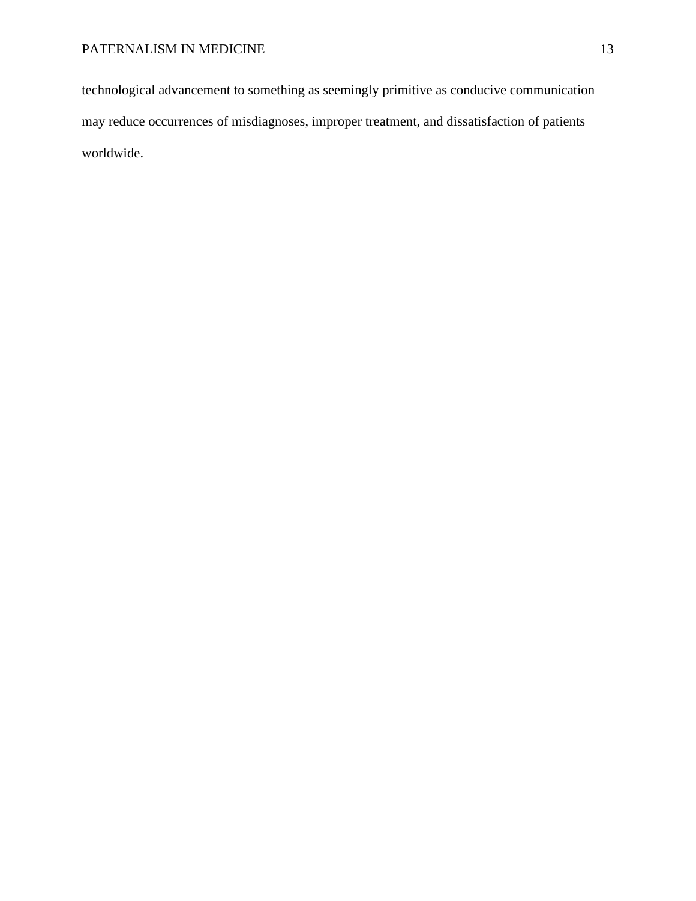technological advancement to something as seemingly primitive as conducive communication may reduce occurrences of misdiagnoses, improper treatment, and dissatisfaction of patients worldwide.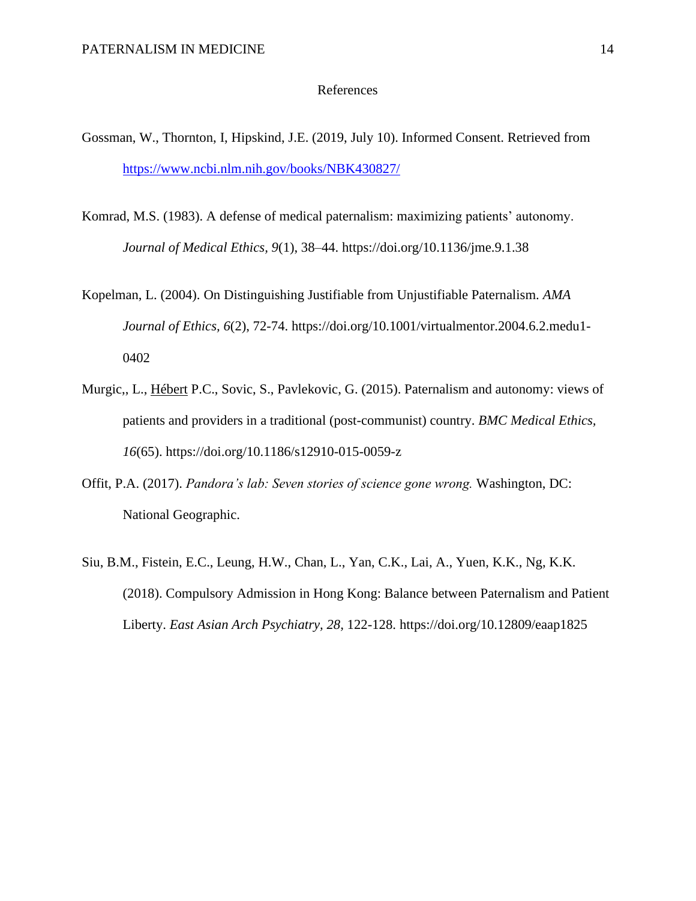### References

- Gossman, W., Thornton, I, Hipskind, J.E. (2019, July 10). Informed Consent. Retrieved from <https://www.ncbi.nlm.nih.gov/books/NBK430827/>
- Komrad, M.S. (1983). A defense of medical paternalism: maximizing patients' autonomy. *Journal of Medical Ethics, 9*(1), 38–44. https://doi.org/10.1136/jme.9.1.38
- Kopelman, L. (2004). On Distinguishing Justifiable from Unjustifiable Paternalism. *AMA Journal of Ethics, 6*(2), 72-74. https://doi.org/10.1001/virtualmentor.2004.6.2.medu1- 0402
- Murgic,, L., [Hébert](https://bmcmedethics.biomedcentral.com/articles/10.1186/s12910-015-0059-z#auth-2) P.C., Sovic, S., Pavlekovic, G. (2015). Paternalism and autonomy: views of patients and providers in a traditional (post-communist) country. *BMC Medical Ethics, 16*(65). https://doi.org/10.1186/s12910-015-0059-z
- Offit, P.A. (2017). *Pandora's lab: Seven stories of science gone wrong.* Washington, DC: National Geographic.
- Siu, B.M., Fistein, E.C., Leung, H.W., Chan, L., Yan, C.K., Lai, A., Yuen, K.K., Ng, K.K. (2018). Compulsory Admission in Hong Kong: Balance between Paternalism and Patient Liberty. *East Asian Arch Psychiatry, 28,* 122-128. https://doi.org/10.12809/eaap1825